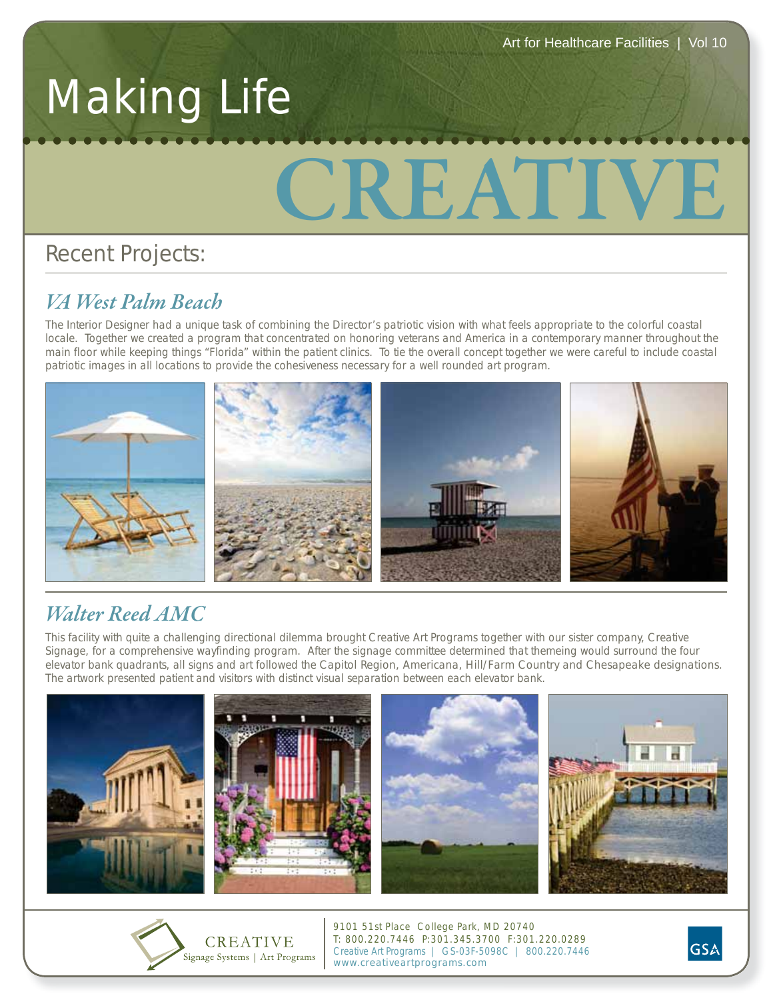# Making Life

# **CREATIVE**

## Recent Projects:

#### *VA West Palm Beach*

The Interior Designer had a unique task of combining the Director's patriotic vision with what feels appropriate to the colorful coastal locale. Together we created a program that concentrated on honoring veterans and America in a contemporary manner throughout the main floor while keeping things "Florida" within the patient clinics. To tie the overall concept together we were careful to include coastal patriotic images in all locations to provide the cohesiveness necessary for a well rounded art program.



### *Walter Reed AMC*

This facility with quite a challenging directional dilemma brought Creative Art Programs together with our sister company, Creative Signage, for a comprehensive wayfinding program. After the signage committee determined that themeing would surround the four elevator bank quadrants, all signs and art followed the Capitol Region, Americana, Hill/Farm Country and Chesapeake designations. The artwork presented patient and visitors with distinct visual separation between each elevator bank.





9101 51st Place College Park, MD 20740 T: 800.220.7446 P:301.345.3700 F:301.220.0289 Creative Art Programs | GS-03F-5098C | 800.220.7446 www.creativeartprograms.com